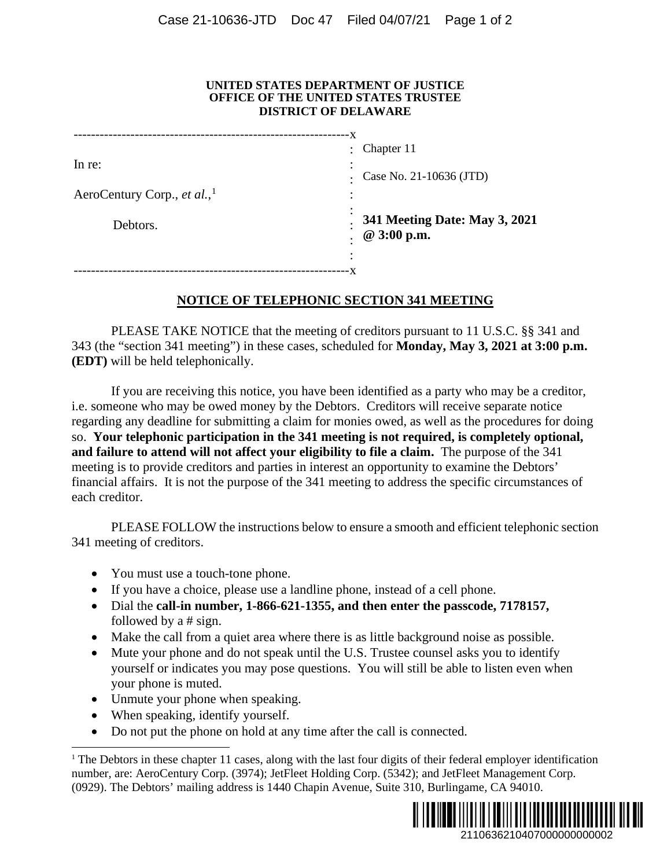## **UNITED STATES DEPARTMENT OF JUSTICE OFFICE OF THE UNITED STATES TRUSTEE DISTRICT OF DELAWARE**

|                                         | Chapter 11<br>$\ddot{\phantom{0}}$           |
|-----------------------------------------|----------------------------------------------|
| In re:                                  | Case No. 21-10636 (JTD)                      |
| AeroCentury Corp., et al., <sup>1</sup> |                                              |
| Debtors.                                | 341 Meeting Date: May 3, 2021<br>@ 3:00 p.m. |
|                                         |                                              |

## **NOTICE OF TELEPHONIC SECTION 341 MEETING**

PLEASE TAKE NOTICE that the meeting of creditors pursuant to 11 U.S.C. §§ 341 and 343 (the "section 341 meeting") in these cases, scheduled for **Monday, May 3, 2021 at 3:00 p.m. (EDT)** will be held telephonically.

If you are receiving this notice, you have been identified as a party who may be a creditor, i.e. someone who may be owed money by the Debtors. Creditors will receive separate notice regarding any deadline for submitting a claim for monies owed, as well as the procedures for doing so. **Your telephonic participation in the 341 meeting is not required, is completely optional, and failure to attend will not affect your eligibility to file a claim.** The purpose of the 341 meeting is to provide creditors and parties in interest an opportunity to examine the Debtors' financial affairs. It is not the purpose of the 341 meeting to address the specific circumstances of each creditor.

PLEASE FOLLOW the instructions below to ensure a smooth and efficient telephonic section 341 meeting of creditors.

- You must use a touch-tone phone.
- If you have a choice, please use a landline phone, instead of a cell phone.
- Dial the **call-in number, 1-866-621-1355, and then enter the passcode, 7178157,**  followed by a # sign.
- Make the call from a quiet area where there is as little background noise as possible.
- Mute your phone and do not speak until the U.S. Trustee counsel asks you to identify yourself or indicates you may pose questions. You will still be able to listen even when your phone is muted.
- Unmute your phone when speaking.
- When speaking, identify yourself.
- Do not put the phone on hold at any time after the call is connected.

<span id="page-0-0"></span><sup>&</sup>lt;sup>1</sup> The Debtors in these chapter 11 cases, along with the last four digits of their federal employer identification number, are: AeroCentury Corp. (3974); JetFleet Holding Corp. (5342); and JetFleet Management Corp. (0929). The Debtors' mailing address is 1440 Chapin Avenue, Suite 310, Burlingame, CA 94010.